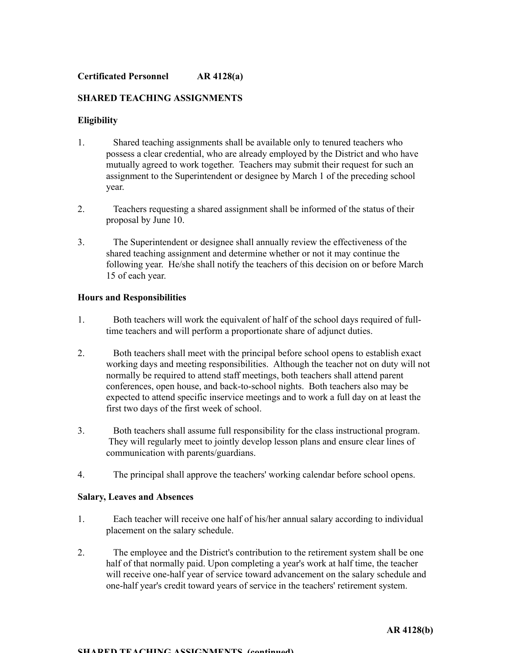# **SHARED TEACHING ASSIGNMENTS**

# **Eligibility**

- 1. Shared teaching assignments shall be available only to tenured teachers who possess a clear credential, who are already employed by the District and who have mutually agreed to work together. Teachers may submit their request for such an assignment to the Superintendent or designee by March 1 of the preceding school year.
- 2. Teachers requesting a shared assignment shall be informed of the status of their proposal by June 10.
- 3. The Superintendent or designee shall annually review the effectiveness of the shared teaching assignment and determine whether or not it may continue the following year. He/she shall notify the teachers of this decision on or before March 15 of each year.

## **Hours and Responsibilities**

- 1. Both teachers will work the equivalent of half of the school days required of fulltime teachers and will perform a proportionate share of adjunct duties.
- 2. Both teachers shall meet with the principal before school opens to establish exact working days and meeting responsibilities. Although the teacher not on duty will not normally be required to attend staff meetings, both teachers shall attend parent conferences, open house, and back-to-school nights. Both teachers also may be expected to attend specific inservice meetings and to work a full day on at least the first two days of the first week of school.
- 3. Both teachers shall assume full responsibility for the class instructional program. They will regularly meet to jointly develop lesson plans and ensure clear lines of communication with parents/guardians.
- 4. The principal shall approve the teachers' working calendar before school opens.

## **Salary, Leaves and Absences**

- 1. Each teacher will receive one half of his/her annual salary according to individual placement on the salary schedule.
- 2. The employee and the District's contribution to the retirement system shall be one half of that normally paid. Upon completing a year's work at half time, the teacher will receive one-half year of service toward advancement on the salary schedule and one-half year's credit toward years of service in the teachers' retirement system.

#### **SHARED TEACHING ASSIGNMENTS (continued)**